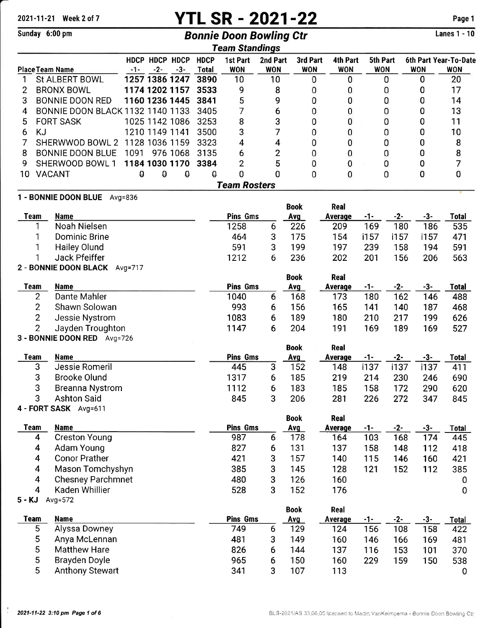# 2021-11-21 Week 2 of 7 **YTL SR - 2021-22** Page 1

 $\frac{1}{2}$  ange 1 - 10

|                     | Sunday 6:00 pm                                      |       |                         |                    |                             | <b>Bonnie Doon Bowling Ctr</b> |                        |                        |                        |                        |              |            | <b>Lanes 1 - 10</b>                 |
|---------------------|-----------------------------------------------------|-------|-------------------------|--------------------|-----------------------------|--------------------------------|------------------------|------------------------|------------------------|------------------------|--------------|------------|-------------------------------------|
|                     |                                                     |       |                         |                    |                             | <b>Team Standings</b>          |                        |                        |                        |                        |              |            |                                     |
|                     | <b>Place Team Name</b>                              | $-1-$ | HDCP HDCP HDCP<br>$-2-$ | $-3-$              | <b>HDCP</b><br><b>Total</b> | 1st Part<br><b>WON</b>         | 2nd Part<br><b>WON</b> | 3rd Part<br><b>WON</b> | 4th Part<br><b>WON</b> | 5th Part<br><b>WON</b> |              | <b>WON</b> | 6th Part Year-To-Date<br><b>WON</b> |
| 1                   | St ALBERT BOWL                                      |       | 1257 1386 1247          |                    | 3890                        | 10                             | 10                     |                        | 0<br>0                 |                        | 0            | 0          | 20                                  |
| 2                   | <b>BRONX BOWL</b>                                   |       | 1174 1202 1157          |                    | 3533                        | 9                              | 8                      |                        | 0<br>0                 |                        | 0            | 0          | 17                                  |
| 3                   | <b>BONNIE DOON RED</b>                              |       | 1160 1236 1445          |                    | 3841                        | 5                              | 9                      |                        | 0<br>0                 |                        | 0            | 0          | 14                                  |
| 4                   | <b>BONNIE DOON BLACK 1132 1140 1133</b>             |       |                         |                    | 3405                        | 7                              | 6                      |                        | 0<br>0                 |                        | 0            | 0          | 13                                  |
| 5                   | <b>FORT SASK</b>                                    |       | 1025 1142 1086          |                    | 3253                        | 8                              | 3                      |                        | 0<br>0                 |                        | 0            | 0          | 11                                  |
| 6                   | <b>KJ</b>                                           |       | 1210 1149 1141          |                    | 3500                        | 3                              | 7                      |                        | 0<br>0                 |                        | 0            | 0          | 10                                  |
| 7                   | SHERWWOD BOWL 2                                     |       | 1128 1036 1159          |                    | 3323                        | 4                              | 4                      |                        | 0<br>0                 |                        | 0            | 0          | 8                                   |
| 8                   | <b>BONNIE DOON BLUE</b>                             | 1091  | 976 1068                |                    | 3135                        | 6                              | $\overline{2}$         |                        | 0<br>0                 |                        | 0            | 0          | 8                                   |
| 9                   | SHERWOOD BOWL 1                                     |       | 1184 1030 1170          |                    | 3384                        | $\overline{2}$                 | 5                      |                        | 0<br>0                 |                        | 0            | 0          | 7                                   |
| 10                  | <b>VACANT</b>                                       | θ     | $\theta$                | $\pmb{\mathsf{Q}}$ | Ô                           | 0                              | 0                      |                        | 0<br>0                 |                        | 0            | 0          | 0                                   |
|                     |                                                     |       |                         |                    |                             | <b>Team Rosters</b>            |                        |                        |                        |                        |              |            |                                     |
|                     | 1 - BONNIE DOON BLUE Avg=836                        |       |                         |                    |                             |                                |                        |                        |                        |                        |              |            |                                     |
|                     |                                                     |       |                         |                    |                             |                                |                        | <b>Book</b>            | <b>Real</b>            |                        |              |            |                                     |
|                     | <b>Team</b><br><b>Name</b>                          |       |                         |                    |                             | <b>Pins Gms</b>                |                        | <b>Avg</b>             | <b>Average</b>         | $-1-$                  | $-2-$        | $-3-$      | <b>Total</b>                        |
|                     | Noah Nielsen<br>1                                   |       |                         |                    |                             | 1258                           | 6                      | 226                    | 209                    | 169                    | 180          | 186        | 535                                 |
|                     | 1<br>Dominic Brine                                  |       |                         |                    |                             | 464                            | 3                      | 175                    | 154                    | i157                   | i157         | i157       | 471                                 |
|                     | 1<br><b>Hailey Olund</b>                            |       |                         |                    |                             | 591                            | 3                      | 199                    | 197                    | 239                    | 158          | 194        | 591                                 |
|                     | 1<br>Jack Pfeiffer                                  |       |                         |                    |                             | 1212                           | 6                      | 236                    | 202                    | 201                    | 156          | 206        | 563                                 |
|                     | 2 - BONNIE DOON BLACK Avg=717                       |       |                         |                    |                             |                                |                        | <b>Book</b>            | Real                   |                        |              |            |                                     |
|                     | <b>Team</b><br><b>Name</b>                          |       |                         |                    |                             | <b>Pins Gms</b>                |                        | Avg                    | <b>Average</b>         | $-1-$                  | $-2-$        | $-3-$      | <b>Total</b>                        |
|                     | $\overline{2}$<br>Dante Mahler                      |       |                         |                    |                             | 1040                           | 6                      | 168                    | 173                    | 180                    | 162          | 146        | 488                                 |
|                     | $\overline{2}$<br>Shawn Solowan                     |       |                         |                    |                             | 993                            | 6                      | 156                    | 165                    | 141                    | 140          | 187        | 468                                 |
|                     | $\overline{2}$<br>Jessie Nystrom                    |       |                         |                    |                             | 1083                           | 6                      | 189                    | 180                    | 210                    | 217          | 199        | 626                                 |
|                     | $\overline{2}$<br>Jayden Troughton                  |       |                         |                    |                             | 1147                           | 6                      | 204                    | 191                    | 169                    | 189          | 169        | 527                                 |
|                     | 3 - BONNIE DOON RED Avg=726                         |       |                         |                    |                             |                                |                        |                        |                        |                        |              |            |                                     |
|                     |                                                     |       |                         |                    |                             |                                |                        | <b>Book</b>            | Real                   |                        |              |            |                                     |
|                     | <b>Team</b><br><b>Name</b>                          |       |                         |                    |                             | <b>Pins Gms</b>                |                        | Avg                    | Average                | $-1-$                  | $-2-$        | $-3-$      | <b>Total</b>                        |
|                     | 3<br>Jessie Romeril                                 |       |                         |                    |                             | 445                            | 3                      | 152                    | 148                    | i137                   | i137         | i137       | 411                                 |
|                     | 3<br><b>Brooke Olund</b>                            |       |                         |                    |                             | 1317                           | 6                      | 185                    | 219                    | 214                    | 230          | 246        | 690                                 |
|                     | 3<br><b>Breanna Nystrom</b>                         |       |                         |                    |                             | 1112                           | 6                      | 183                    | 185                    | 158                    | 172          | 290        | 620                                 |
|                     | 3<br><b>Ashton Said</b>                             |       |                         |                    |                             | 845                            | 3                      | 206                    | 281                    | 226                    | 272          | 347        | 845                                 |
|                     | 4 - FORT SASK Avg=611                               |       |                         |                    |                             |                                |                        |                        |                        |                        |              |            |                                     |
|                     | <b>Team</b><br><b>Name</b>                          |       |                         |                    |                             | <b>Pins Gms</b>                |                        | <b>Book</b><br>Avg     | <b>Real</b>            |                        |              | $-3-$      |                                     |
|                     | <b>Creston Young</b><br>4                           |       |                         |                    |                             | 987                            | 6                      | 178                    | Average<br>164         | $-1-$<br>103           | $-2-$<br>168 | 174        | Total<br>445                        |
|                     | Adam Young<br>4                                     |       |                         |                    |                             | 827                            | 6                      | 131                    | 137                    | 158                    | 148          | 112        | 418                                 |
|                     | <b>Conor Prather</b><br>4                           |       |                         |                    |                             | 421                            | 3                      | 157                    | 140                    | 115                    | 146          | 160        | 421                                 |
|                     | $\overline{\mathbf{4}}$<br>Mason Tomchyshyn         |       |                         |                    |                             | 385                            | 3                      | 145<br>128             |                        | 121                    | 152          | 112        | 385                                 |
|                     | $\overline{\mathbf{4}}$<br><b>Chesney Parchmnet</b> |       |                         | 480                |                             | 3<br>126                       |                        |                        |                        |                        | 0            |            |                                     |
| 4<br>Kaden Whillier |                                                     |       | 528                     | 3                  | 152                         | 160<br>176                     |                        |                        |                        | 0                      |              |            |                                     |
| $5 - KJ$            | Avg=572                                             |       |                         |                    |                             |                                |                        |                        |                        |                        |              |            |                                     |
|                     |                                                     |       |                         |                    |                             |                                |                        | <b>Book</b>            | Real                   |                        |              |            |                                     |
|                     | <b>Team</b><br>Name                                 |       |                         |                    |                             | <b>Pins Gms</b>                |                        | Avg                    | Average                | $-1-$                  | $-2-$        | $-3-$      | Total                               |
|                     | 5<br>Alyssa Downey                                  |       |                         |                    |                             | 749                            | 6                      | 129                    | 124                    | 156                    | 108          | 158        | 422                                 |
|                     | 5<br>Anya McLennan                                  |       |                         |                    |                             | 481                            | 3                      | 149                    | 160                    | 146                    | 166          | 169        | 481                                 |
|                     | 5<br><b>Matthew Hare</b>                            |       |                         |                    |                             | 826                            | 6                      | 144                    | 137                    | 116                    | 153          | 101        | 370                                 |
|                     | 5<br><b>Brayden Doyle</b>                           |       |                         |                    |                             | 965                            | 6                      | 150                    | 160                    | 229                    | 159          | 150        | 538                                 |
|                     | 5<br><b>Anthony Stewart</b>                         |       |                         |                    |                             | 341                            | 3                      | 107                    | 113                    |                        |              |            | 0                                   |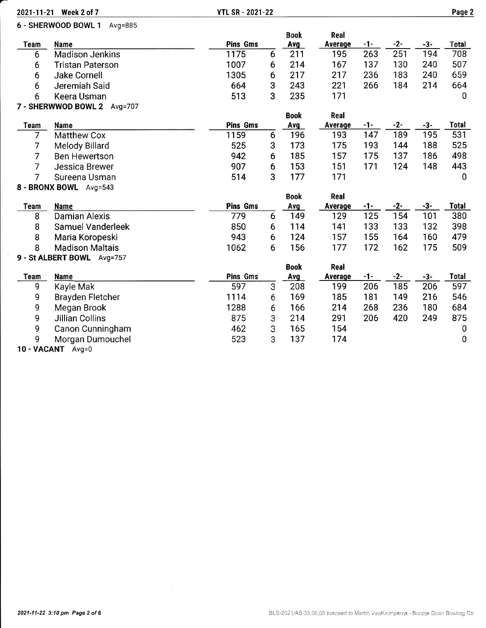|                | 2021-11-21 Week 2 of 7              | <b>YTL SR - 2021-22</b> |   |             |                |            |              |              | Page 2              |
|----------------|-------------------------------------|-------------------------|---|-------------|----------------|------------|--------------|--------------|---------------------|
|                | 6 - SHERWOOD BOWL 1<br>$Avg=885$    |                         |   | <b>Book</b> | Real           |            |              |              |                     |
| <b>Team</b>    | Name                                | <b>Pins Gms</b>         |   | <b>Avg</b>  | <b>Average</b> | $-1-$      | $-2-$        | $-3-$        | <b>Total</b>        |
| 6              | <b>Madison Jenkins</b>              | 1175                    | 6 | 211         | 195            | 263        | 251          | 194          | 708                 |
| 6              | <b>Tristan Paterson</b>             | 1007                    | 6 | 214         | 167            | 137        | 130          | 240          | 507                 |
| 6              | <b>Jake Cornell</b>                 | 1305                    | 6 | 217         | 217            | 236        | 183          | 240          | 659                 |
| 6              | Jeremiah Said                       | 664                     | 3 | 243         | 221            | 266        | 184          | 214          | 664                 |
| 6              | Keera Usman                         | 513                     | 3 | 235         | 171            |            |              |              | $\mathbf 0$         |
|                | 7 - SHERWWOD BOWL 2 Avg=707         |                         |   |             |                |            |              |              |                     |
|                |                                     |                         |   | <b>Book</b> | Real           |            |              |              |                     |
| <b>Team</b>    | <b>Name</b>                         | <b>Pins Gms</b>         |   | Avg         | Average        | $-1-$      | $-2-$        | $-3-$        | <b>Total</b>        |
| $\overline{7}$ | <b>Matthew Cox</b>                  | 1159                    | 6 | 196         | 193            | 147        | 189          | 195          | 531                 |
| 7              | Melody Billard                      | 525                     | 3 | 173         | 175            | 193        | 144          | 188          | 525                 |
| $\overline{7}$ | <b>Ben Hewertson</b>                | 942                     | 6 | 185         | 157            | 175        | 137          | 186          | 498                 |
| $\overline{7}$ | <b>Jessica Brewer</b>               | 907                     | 6 | 153         | 151            | 171        | 124          | 148          | 443                 |
| 7              | Sureena Usman                       | 514                     | 3 | 177         | 171            |            |              |              | $\mathbf 0$         |
|                | 8 - BRONX BOWL Avg=543              |                         |   |             |                |            |              |              |                     |
|                |                                     |                         |   | <b>Book</b> | Real           |            |              |              |                     |
| Team<br>8      | <b>Name</b><br><b>Damian Alexis</b> | <b>Pins Gms</b><br>779  | 6 | Avg<br>149  | Average<br>129 | -1-<br>125 | $-2-$<br>154 | $-3-$<br>101 | <b>Total</b><br>380 |
| 8              | Samuel Vanderleek                   | 850                     | 6 | 114         | 141            | 133        | 133          | 132          | 398                 |
| 8              | Maria Koropeski                     | 943                     | 6 | 124         | 157            | 155        | 164          | 160          | 479                 |
| 8              | <b>Madison Maltais</b>              | 1062                    | 6 | 156         | 177            | 172        | 162          | 175          | 509                 |
|                | 9 - St ALBERT BOWL Avg=757          |                         |   |             |                |            |              |              |                     |
|                |                                     |                         |   | <b>Book</b> | Real           |            |              |              |                     |
| <b>Team</b>    | <b>Name</b>                         | <b>Pins Gms</b>         |   | <b>Avg</b>  | Average        | $-1-$      | $-2-$        | $-3-$        | <b>Total</b>        |
| 9              | Kayle Mak                           | 597                     | 3 | 208         | 199            | 206        | 185          | 206          | 597                 |
| 9              | <b>Brayden Fletcher</b>             | 1114                    | 6 | 169         | 185            | 181        | 149          | 216          | 546                 |
| 9              | Megan Brook                         | 1288                    | 6 | 166         | 214            | 268        | 236          | 180          | 684                 |
| 9              | <b>Jillian Collins</b>              | 875                     | 3 | 214         | 291            | 206        | 420          | 249          | 875                 |
| 9              | Canon Cunningham                    | 462                     | 3 | 165         | 154            |            |              |              | 0                   |
| 9              | Morgan Dumouchel                    | 523                     | 3 | 137         | 174            |            |              |              | 0                   |

10-VACANT Avg=O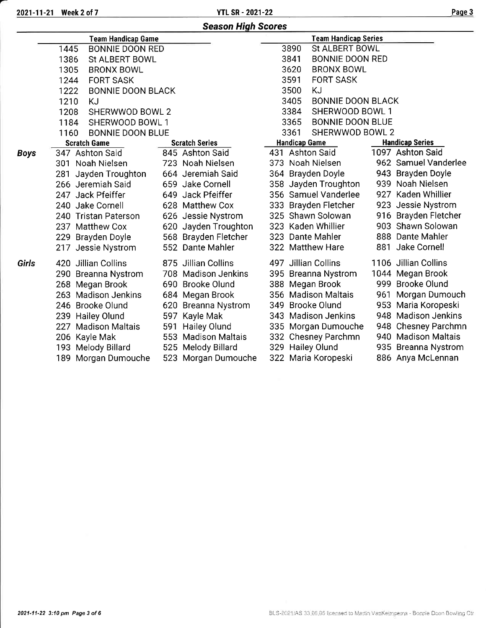| <b>Season High Scores</b> |                                  |                       |                                  |                        |  |  |  |  |
|---------------------------|----------------------------------|-----------------------|----------------------------------|------------------------|--|--|--|--|
|                           | <b>Team Handicap Game</b>        |                       | <b>Team Handicap Series</b>      |                        |  |  |  |  |
|                           | 1445<br><b>BONNIE DOON RED</b>   |                       | 3890<br><b>St ALBERT BOWL</b>    |                        |  |  |  |  |
|                           | 1386<br>St ALBERT BOWL           |                       | 3841<br><b>BONNIE DOON RED</b>   |                        |  |  |  |  |
|                           | 1305<br><b>BRONX BOWL</b>        |                       | 3620<br><b>BRONX BOWL</b>        |                        |  |  |  |  |
|                           | <b>FORT SASK</b><br>1244         |                       | 3591<br><b>FORT SASK</b>         |                        |  |  |  |  |
|                           | 1222<br><b>BONNIE DOON BLACK</b> |                       | 3500<br>KJ                       |                        |  |  |  |  |
|                           | 1210<br>KJ                       |                       | 3405<br><b>BONNIE DOON BLACK</b> |                        |  |  |  |  |
|                           | 1208<br>SHERWWOD BOWL 2          |                       | 3384<br>SHERWOOD BOWL 1          |                        |  |  |  |  |
|                           | 1184<br>SHERWOOD BOWL 1          |                       | <b>BONNIE DOON BLUE</b><br>3365  |                        |  |  |  |  |
|                           | <b>BONNIE DOON BLUE</b><br>1160  |                       | 3361<br>SHERWWOD BOWL 2          |                        |  |  |  |  |
|                           | <b>Scratch Game</b>              | <b>Scratch Series</b> | <b>Handicap Game</b>             | <b>Handicap Series</b> |  |  |  |  |
| <b>Boys</b>               | 347 Ashton Said                  | 845 Ashton Said       | 431 Ashton Said                  | 1097 Ashton Said       |  |  |  |  |
|                           | 301 Noah Nielsen                 | 723 Noah Nielsen      | 373 Noah Nielsen                 | 962 Samuel Vanderlee   |  |  |  |  |
|                           | Jayden Troughton<br>281          | 664 Jeremiah Said     | 364 Brayden Doyle                | 943 Brayden Doyle      |  |  |  |  |
|                           | 266 Jeremiah Said                | 659 Jake Cornell      | 358 Jayden Troughton             | 939 Noah Nielsen       |  |  |  |  |
|                           | 247 Jack Pfeiffer                | 649 Jack Pfeiffer     | 356 Samuel Vanderlee             | 927 Kaden Whillier     |  |  |  |  |
|                           | 240<br>Jake Cornell              | 628 Matthew Cox       | 333 Brayden Fletcher             | 923 Jessie Nystrom     |  |  |  |  |
|                           | 240 Tristan Paterson             | 626 Jessie Nystrom    | 325 Shawn Solowan                | 916 Brayden Fletcher   |  |  |  |  |
|                           | 237 Matthew Cox                  | 620 Jayden Troughton  | 323<br>Kaden Whillier            | 903 Shawn Solowan      |  |  |  |  |
|                           | 229 Brayden Doyle                | 568 Brayden Fletcher  | 323 Dante Mahler                 | 888 Dante Mahler       |  |  |  |  |
|                           | 217 Jessie Nystrom               | 552 Dante Mahler      | 322 Matthew Hare                 | 881 Jake Cornell       |  |  |  |  |
| Girls                     | Jillian Collins<br>420           | 875 Jillian Collins   | 497 Jillian Collins              | 1106 Jillian Collins   |  |  |  |  |
|                           | 290 Breanna Nystrom              | 708 Madison Jenkins   | 395 Breanna Nystrom              | 1044 Megan Brook       |  |  |  |  |
|                           | 268 Megan Brook                  | 690 Brooke Olund      | 388 Megan Brook                  | 999 Brooke Olund       |  |  |  |  |
|                           | 263 Madison Jenkins              | 684 Megan Brook       | 356 Madison Maltais              | Morgan Dumouch<br>961  |  |  |  |  |
|                           | 246 Brooke Olund                 | 620 Breanna Nystrom   | 349<br>Brooke Olund              | 953 Maria Koropeski    |  |  |  |  |
|                           | 239 Hailey Olund                 | 597 Kayle Mak         | 343 Madison Jenkins              | 948 Madison Jenkins    |  |  |  |  |
|                           | <b>Madison Maltais</b><br>227    | 591 Hailey Olund      | 335 Morgan Dumouche              | 948 Chesney Parchmn    |  |  |  |  |
|                           | 206 Kayle Mak                    | 553 Madison Maltais   | 332 Chesney Parchmn              | 940 Madison Maltais    |  |  |  |  |
|                           | 193 Melody Billard               | 525 Melody Billard    | 329 Hailey Olund                 | 935 Breanna Nystrom    |  |  |  |  |
|                           | 189 Morgan Dumouche              | 523 Morgan Dumouche   | 322 Maria Koropeski              | 886 Anya McLennan      |  |  |  |  |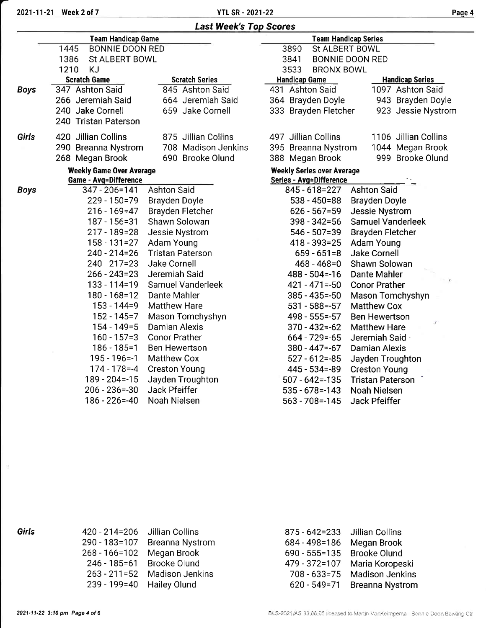|       | <b>Team Handicap Game</b>       |                         | <b>Team Handicap Series</b>       |                                                    |  |  |  |
|-------|---------------------------------|-------------------------|-----------------------------------|----------------------------------------------------|--|--|--|
|       | <b>BONNIE DOON RED</b><br>1445  |                         | 3890<br>St ALBERT BOWL            |                                                    |  |  |  |
|       | 1386<br><b>St ALBERT BOWL</b>   |                         | 3841                              | <b>BONNIE DOON RED</b>                             |  |  |  |
|       | 1210<br><b>KJ</b>               |                         | 3533<br><b>BRONX BOWL</b>         |                                                    |  |  |  |
|       | <b>Scratch Game</b>             | <b>Scratch Series</b>   | <b>Handicap Game</b>              | <b>Handicap Series</b>                             |  |  |  |
| Boys  | 347 Ashton Said                 | 845 Ashton Said         | 431 Ashton Said                   | 1097 Ashton Said                                   |  |  |  |
|       | 266 Jeremiah Said               | 664 Jeremiah Said       | 364 Brayden Doyle                 | 943 Brayden Doyle                                  |  |  |  |
|       | 240 Jake Cornell                | 659 Jake Cornell        | 333 Brayden Fletcher              | 923 Jessie Nystrom                                 |  |  |  |
|       | 240 Tristan Paterson            |                         |                                   |                                                    |  |  |  |
| Girls | 420 Jillian Collins             | 875 Jillian Collins     | 497 Jillian Collins               | 1106 Jillian Collins                               |  |  |  |
|       | 290 Breanna Nystrom             | 708 Madison Jenkins     | 395 Breanna Nystrom               | 1044 Megan Brook                                   |  |  |  |
|       | 268 Megan Brook                 | 690 Brooke Olund        | 388 Megan Brook                   | 999 Brooke Olund                                   |  |  |  |
|       | <b>Weekly Game Over Average</b> |                         | <b>Weekly Series over Average</b> |                                                    |  |  |  |
|       | <b>Game - Avg=Difference</b>    |                         | Series - Avg=Difference           |                                                    |  |  |  |
| Boys  | 347 - 206=141                   | <b>Ashton Said</b>      | 845 - 618 = 227                   | <b>Ashton Said</b>                                 |  |  |  |
|       | $229 - 150 = 79$                | Brayden Doyle           | 538 - 450=88                      | Brayden Doyle                                      |  |  |  |
|       | $216 - 169 = 47$                | Brayden Fletcher        | $626 - 567 = 59$                  | Jessie Nystrom                                     |  |  |  |
|       | $187 - 156 = 31$                | Shawn Solowan           | $398 - 342 = 56$                  | Samuel Vanderleek                                  |  |  |  |
|       | $217 - 189 = 28$                | Jessie Nystrom          | $546 - 507 = 39$                  | <b>Brayden Fletcher</b>                            |  |  |  |
|       | $158 - 131 = 27$                | Adam Young              | $418 - 393 = 25$                  | Adam Young                                         |  |  |  |
|       | $240 - 214 = 26$                | <b>Tristan Paterson</b> | $659 - 651 = 8$                   | Jake Cornell                                       |  |  |  |
|       | $240 - 217 = 23$                | Jake Cornell            | $468 - 468 = 0$                   | Shawn Solowan                                      |  |  |  |
|       | $266 - 243 = 23$                | Jeremiah Said           | $488 - 504 = -16$                 | <b>Dante Mahler</b><br>$\rightarrow$ $\rightarrow$ |  |  |  |
|       | $133 - 114 = 19$                | Samuel Vanderleek       | $421 - 471 = -50$                 | <b>Conor Prather</b>                               |  |  |  |
|       | $180 - 168 = 12$                | Dante Mahler            | $385 - 435 = -50$                 | <b>Mason Tomchyshyn</b>                            |  |  |  |
|       | $153 - 144 = 9$                 | <b>Matthew Hare</b>     | $531 - 588 = -57$                 | <b>Matthew Cox</b>                                 |  |  |  |
|       | $152 - 145 = 7$                 | Mason Tomchyshyn        | $498 - 555 = -57$                 | <b>Ben Hewertson</b>                               |  |  |  |
|       | $154 - 149 = 5$                 | <b>Damian Alexis</b>    | $370 - 432 = -62$                 | <b>Matthew Hare</b>                                |  |  |  |
|       | $160 - 157 = 3$                 | <b>Conor Prather</b>    | $664 - 729 = -65$                 | Jeremiah Said                                      |  |  |  |
|       | $186 - 185 = 1$                 | <b>Ben Hewertson</b>    | $380 - 447 = -67$                 | <b>Damian Alexis</b>                               |  |  |  |
|       | $195 - 196 = -1$                | <b>Matthew Cox</b>      | $527 - 612 = -85$                 | Jayden Troughton                                   |  |  |  |
|       | $174 - 178 = -4$                | <b>Creston Young</b>    | $445 - 534 = -89$                 | <b>Creston Young</b>                               |  |  |  |
|       | $189 - 204 = -15$               | Jayden Troughton        | $507 - 642 = -135$                | <b>Tristan Paterson</b>                            |  |  |  |
|       | $206 - 236 = -30$               | Jack Pfeiffer           | $535 - 678 = -143$                | Noah Nielsen                                       |  |  |  |
|       | $186 - 226 = -40$               | Noah Nielsen            | $563 - 708 = -145$                | Jack Pfeiffer                                      |  |  |  |

Girls

 $\tilde{\mathcal{X}}$ 

| 420 - 214=206     | Jillian Collins        |
|-------------------|------------------------|
| 290 - 183=107     | <b>Breanna Nystrom</b> |
| $268 - 166 = 102$ | Megan Brook            |
| 246 - 185 = 61    | <b>Brooke Olund</b>    |
| $263 - 211 = 52$  | <b>Madison Jenkins</b> |
| 239 - 199 = 40    | Hailey Olund           |

| 875 - 642 = 233  | <b>Jillian Collins</b> |
|------------------|------------------------|
| 684 - 498 = 186  | Megan Brook            |
| 690 - 555=135    | <b>Brooke Olund</b>    |
| 479 - 372=107    | Maria Koropeski        |
| $708 - 633 = 75$ | <b>Madison Jenkins</b> |
| 620 - 549 = 71   | <b>Breanna Nystrom</b> |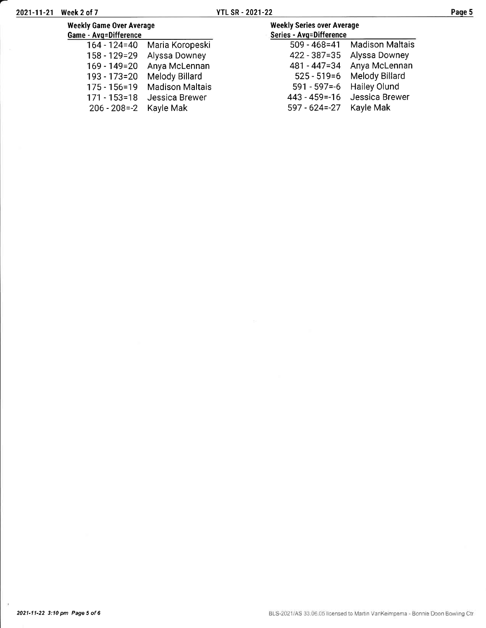| 2021-11-21 Week 2 of 7                                   |                              | <b>YTL SR - 2021-22</b>                                      |                                 | Page 5 |  |
|----------------------------------------------------------|------------------------------|--------------------------------------------------------------|---------------------------------|--------|--|
| <b>Weekly Game Over Average</b><br>Game - Avg=Difference |                              | <b>Weekly Series over Average</b><br>Series - Avg=Difference |                                 |        |  |
|                                                          | 164 - 124=40 Maria Koropeski |                                                              | 509 - 468=41 Madison Maltais    |        |  |
|                                                          | 158 - 129=29 Alyssa Downey   |                                                              | 422 - 387=35 Alyssa Downey      |        |  |
|                                                          | 169 - 149=20 Anya McLennan   |                                                              | 481 - 447=34 Anya McLennan      |        |  |
|                                                          | 193 - 173=20 Melody Billard  |                                                              | 525 - 519=6 Melody Billard      |        |  |
|                                                          | 175 - 156=19 Madison Maltais |                                                              | 591 - 597 = - 6 Hailey Olund    |        |  |
|                                                          | 171 - 153=18 Jessica Brewer  |                                                              | 443 - 459 = - 16 Jessica Brewer |        |  |

- 624=-27 Kayle Mak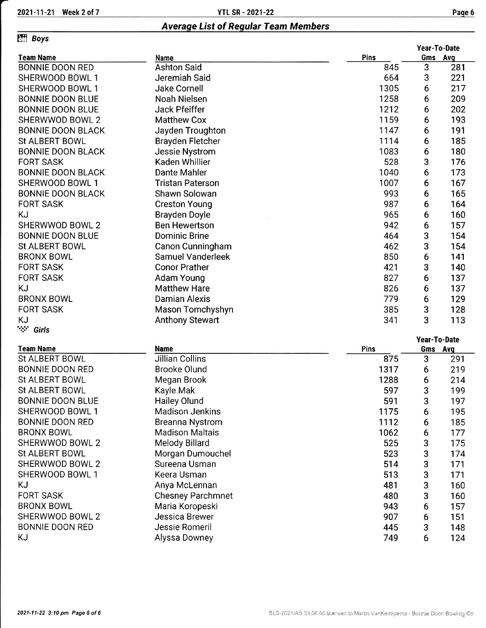Average list of Regular Team Members

## **Effi** Boys

|                                     |                         |      | Year-To-Date |         |  |
|-------------------------------------|-------------------------|------|--------------|---------|--|
| <b>Team Name</b>                    | Name                    | Pins |              | Gms Avg |  |
| <b>BONNIE DOON RED</b>              | <b>Ashton Said</b>      | 845  | 3            | 281     |  |
| SHERWOOD BOWL 1                     | Jeremiah Said           | 664  | 3            | 221     |  |
| SHERWOOD BOWL 1                     | <b>Jake Cornell</b>     | 1305 | 6            | 217     |  |
| <b>BONNIE DOON BLUE</b>             | Noah Nielsen            | 1258 | 6            | 209     |  |
| <b>BONNIE DOON BLUE</b>             | Jack Pfeiffer           | 1212 | 6            | 202     |  |
| SHERWWOD BOWL 2                     | <b>Matthew Cox</b>      | 1159 | 6            | 193     |  |
| <b>BONNIE DOON BLACK</b>            | Jayden Troughton        | 1147 | 6            | 191     |  |
| <b>St ALBERT BOWL</b>               | <b>Brayden Fletcher</b> | 1114 | 6            | 185     |  |
| <b>BONNIE DOON BLACK</b>            | Jessie Nystrom          | 1083 | 6            | 180     |  |
| <b>FORT SASK</b>                    | <b>Kaden Whillier</b>   | 528  | 3            | 176     |  |
| <b>BONNIE DOON BLACK</b>            | Dante Mahler            | 1040 | 6            | 173     |  |
| SHERWOOD BOWL 1                     | Tristan Paterson        | 1007 | 6            | 167     |  |
| <b>BONNIE DOON BLACK</b>            | Shawn Solowan           | 993  | 6            | 165     |  |
| <b>FORT SASK</b>                    | <b>Creston Young</b>    | 987  | 6            | 164     |  |
| KJ                                  | Brayden Doyle           | 965  | 6            | 160     |  |
| SHERWWOD BOWL 2                     | <b>Ben Hewertson</b>    | 942  | 6            | 157     |  |
| <b>BONNIE DOON BLUE</b>             | <b>Dominic Brine</b>    | 464  | 3            | 154     |  |
| St ALBERT BOWL                      | Canon Cunningham        | 462  | 3            | 154     |  |
| <b>BRONX BOWL</b>                   | Samuel Vanderleek       | 850  | 6            | 141     |  |
| <b>FORT SASK</b>                    | <b>Conor Prather</b>    | 421  | 3            | 140     |  |
| <b>FORT SASK</b>                    | Adam Young              | 827  | 6            | 137     |  |
| KJ                                  | <b>Matthew Hare</b>     | 826  | 6            | 137     |  |
| <b>BRONX BOWL</b>                   | <b>Damian Alexis</b>    | 779  | 6            | 129     |  |
| <b>FORT SASK</b>                    | Mason Tomchyshyn        | 385  | 3            | 128     |  |
| ΚJ                                  | Anthony Stewart         | 341  | 3            | 113     |  |
| $\mathcal{L}(\mathcal{C})$<br>Girls |                         |      |              |         |  |

### Team Name

| <b>Team Name</b>        | <b>Name</b>              | <b>Pins</b> | Gms Avg |     |
|-------------------------|--------------------------|-------------|---------|-----|
| <b>St ALBERT BOWL</b>   | Jillian Collins          | 875         | 3       | 291 |
| <b>BONNIE DOON RED</b>  | <b>Brooke Olund</b>      | 1317        | 6       | 219 |
| St ALBERT BOWL          | Megan Brook              | 1288        | 6       | 214 |
| St ALBERT BOWL          | Kayle Mak                | 597         | 3       | 199 |
| <b>BONNIE DOON BLUE</b> | <b>Hailey Olund</b>      | 591         | 3       | 197 |
| SHERWOOD BOWL 1         | <b>Madison Jenkins</b>   | 1175        | 6       | 195 |
| <b>BONNIE DOON RED</b>  | <b>Breanna Nystrom</b>   | 1112        | 6       | 185 |
| <b>BRONX BOWL</b>       | <b>Madison Maltais</b>   | 1062        | 6       | 177 |
| SHERWWOD BOWL 2         | Melody Billard           | 525         | 3       | 175 |
| <b>St ALBERT BOWL</b>   | Morgan Dumouchel         | 523         | 3       | 174 |
| SHERWWOD BOWL 2         | Sureena Usman            | 514         | 3       | 171 |
| SHERWOOD BOWL 1         | Keera Usman              | 513         | 3       | 171 |
| KJ                      | Anya McLennan            | 481         | 3       | 160 |
| <b>FORT SASK</b>        | <b>Chesney Parchmnet</b> | 480         | 3       | 160 |
| <b>BRONX BOWL</b>       | Maria Koropeski          | 943         | 6       | 157 |
| SHERWWOD BOWL 2         | Jessica Brewer           | 907         | 6       | 151 |
| <b>BONNIE DOON RED</b>  | Jessie Romeril           | 445         | 3       | 148 |
| ΚJ                      | Alyssa Downey            | 749         | 6       | 124 |

Year-To-Date